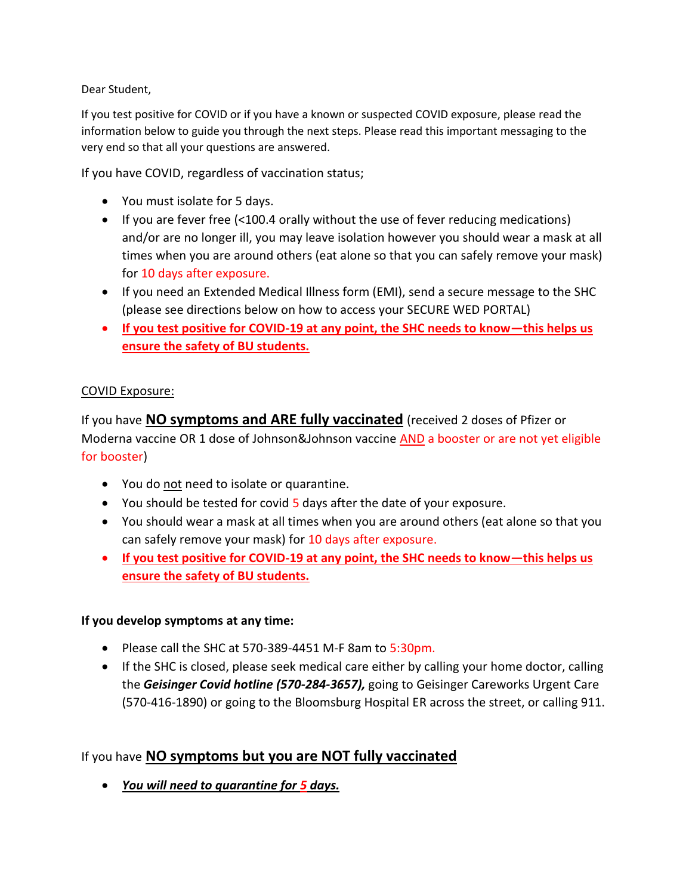Dear Student,

If you test positive for COVID or if you have a known or suspected COVID exposure, please read the information below to guide you through the next steps. Please read this important messaging to the very end so that all your questions are answered.

If you have COVID, regardless of vaccination status;

- You must isolate for 5 days.
- If you are fever free (<100.4 orally without the use of fever reducing medications) and/or are no longer ill, you may leave isolation however you should wear a mask at all times when you are around others (eat alone so that you can safely remove your mask) for 10 days after exposure.
- If you need an Extended Medical Illness form (EMI), send a secure message to the SHC (please see directions below on how to access your SECURE WED PORTAL)
- **If you test positive for COVID-19 at any point, the SHC needs to know—this helps us ensure the safety of BU students.**

#### COVID Exposure:

If you have **NO symptoms and ARE fully vaccinated** (received 2 doses of Pfizer or Moderna vaccine OR 1 dose of Johnson&Johnson vaccine AND a booster or are not yet eligible for booster)

- You do not need to isolate or quarantine.
- You should be tested for covid 5 days after the date of your exposure.
- You should wear a mask at all times when you are around others (eat alone so that you can safely remove your mask) for 10 days after exposure.
- **If you test positive for COVID-19 at any point, the SHC needs to know—this helps us ensure the safety of BU students.**

#### **If you develop symptoms at any time:**

- Please call the SHC at 570-389-4451 M-F 8am to 5:30pm.
- If the SHC is closed, please seek medical care either by calling your home doctor, calling the *Geisinger Covid hotline (570-284-3657),* going to Geisinger Careworks Urgent Care (570-416-1890) or going to the Bloomsburg Hospital ER across the street, or calling 911.

### If you have **NO symptoms but you are NOT fully vaccinated**

• *You will need to quarantine for 5 days.*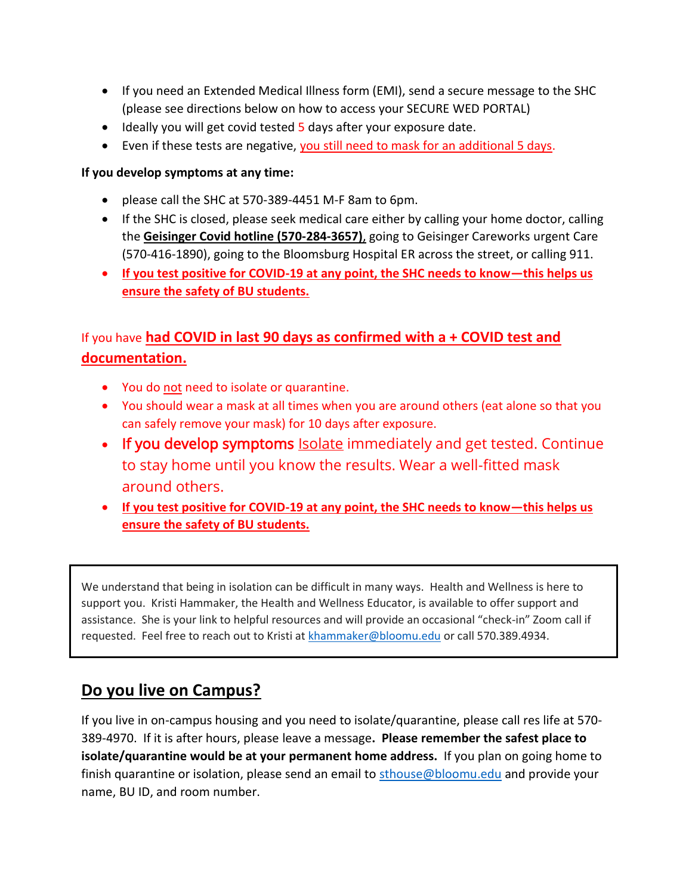- If you need an Extended Medical Illness form (EMI), send a secure message to the SHC (please see directions below on how to access your SECURE WED PORTAL)
- Ideally you will get covid tested 5 days after your exposure date.
- Even if these tests are negative, you still need to mask for an additional 5 days.

#### **If you develop symptoms at any time:**

- please call the SHC at 570-389-4451 M-F 8am to 6pm.
- If the SHC is closed, please seek medical care either by calling your home doctor, calling the **Geisinger Covid hotline (570-284-3657)**, going to Geisinger Careworks urgent Care (570-416-1890), going to the Bloomsburg Hospital ER across the street, or calling 911.
- **If you test positive for COVID-19 at any point, the SHC needs to know—this helps us ensure the safety of BU students.**

# If you have **had COVID in last 90 days as confirmed with a + COVID test and documentation.**

- You do not need to isolate or quarantine.
- You should wear a mask at all times when you are around others (eat alone so that you can safely remove your mask) for 10 days after exposure.
- If you develop symptoms **[Isolate](https://www.cdc.gov/coronavirus/2019-ncov/your-health/quarantine-isolation.html#isolate) immediately and get tested.** Continue to stay home until you know the results. Wear a well-fitted mask around others.
- **If you test positive for COVID-19 at any point, the SHC needs to know—this helps us ensure the safety of BU students.**

We understand that being in isolation can be difficult in many ways. Health and Wellness is here to support you. Kristi Hammaker, the Health and Wellness Educator, is available to offer support and assistance. She is your link to helpful resources and will provide an occasional "check-in" Zoom call if requested. Feel free to reach out to Kristi at [khammaker@bloomu.edu](mailto:khammaker@bloomu.edu) or call 570.389.4934.

# **Do you live on Campus?**

If you live in on-campus housing and you need to isolate/quarantine, please call res life at 570- 389-4970. If it is after hours, please leave a message**. Please remember the safest place to isolate/quarantine would be at your permanent home address.** If you plan on going home to finish quarantine or isolation, please send an email to [sthouse@bloomu.edu](mailto:sthouse@bloomu.edu) and provide your name, BU ID, and room number.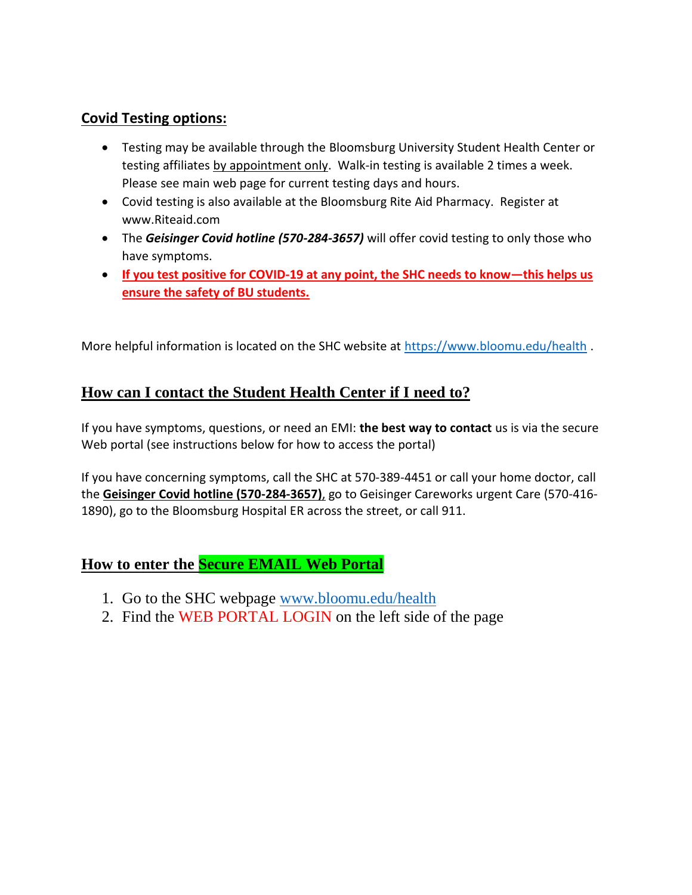## **Covid Testing options:**

- Testing may be available through the Bloomsburg University Student Health Center or testing affiliates by appointment only. Walk-in testing is available 2 times a week. Please see main web page for current testing days and hours.
- Covid testing is also available at the Bloomsburg Rite Aid Pharmacy. Register at www.Riteaid.com
- The *Geisinger Covid hotline (570-284-3657)* will offer covid testing to only those who have symptoms.
- **If you test positive for COVID-19 at any point, the SHC needs to know—this helps us ensure the safety of BU students.**

More helpful information is located on the SHC website at<https://www.bloomu.edu/health>.

## **How can I contact the Student Health Center if I need to?**

If you have symptoms, questions, or need an EMI: **the best way to contact** us is via the secure Web portal (see instructions below for how to access the portal)

If you have concerning symptoms, call the SHC at 570-389-4451 or call your home doctor, call the **Geisinger Covid hotline (570-284-3657)**, go to Geisinger Careworks urgent Care (570-416- 1890), go to the Bloomsburg Hospital ER across the street, or call 911.

## **How to enter the Secure EMAIL Web Portal**

- 1. Go to the SHC webpage [www.bloomu.edu/health](http://www.bloomu.edu/health)
- 2. Find the WEB PORTAL LOGIN on the left side of the page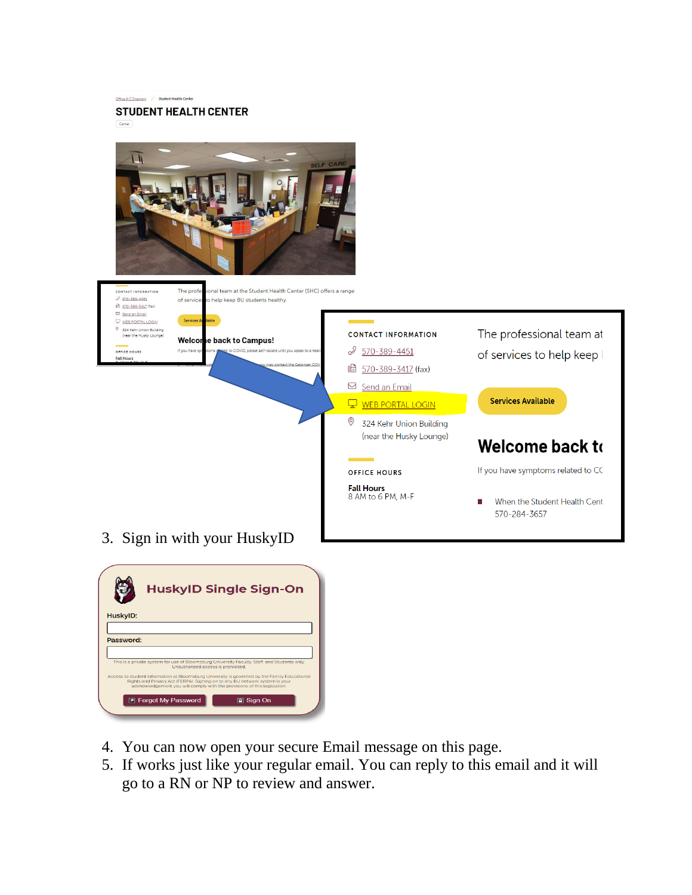

- 4. You can now open your secure Email message on this page.
- 5. If works just like your regular email. You can reply to this email and it will go to a RN or NP to review and answer.